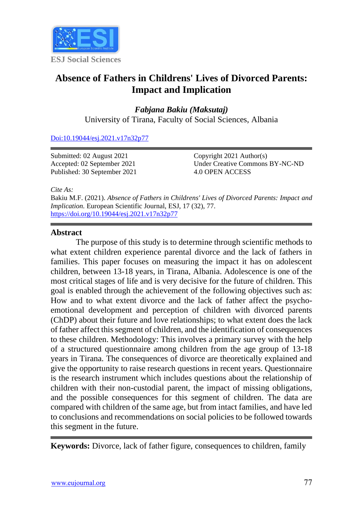

# **Absence of Fathers in Childrens' Lives of Divorced Parents: Impact and Implication**

*Fabjana Bakiu (Maksutaj)*  University of Tirana, Faculty of Social Sciences, Albania

[Doi:10.19044/esj.2021.v17n32p77](https://doi.org/10.19044/esj.2021.v17n32p77)

Submitted: 02 August 2021 Accepted: 02 September 2021 Published: 30 September 2021 Copyright 2021 Author(s) Under Creative Commons BY-NC-ND 4.0 OPEN ACCESS

*Cite As:*

Bakiu M.F. (2021). *Absence of Fathers in Childrens' Lives of Divorced Parents: Impact and Implication.* European Scientific Journal, ESJ, 17 (32), 77. <https://doi.org/10.19044/esj.2021.v17n32p77>

#### **Abstract**

The purpose of this study is to determine through scientific methods to what extent children experience parental divorce and the lack of fathers in families. This paper focuses on measuring the impact it has on adolescent children, between 13-18 years, in Tirana, Albania. Adolescence is one of the most critical stages of life and is very decisive for the future of children. This goal is enabled through the achievement of the following objectives such as: How and to what extent divorce and the lack of father affect the psychoemotional development and perception of children with divorced parents (ChDP) about their future and love relationships; to what extent does the lack of father affect this segment of children, and the identification of consequences to these children. Methodology: This involves a primary survey with the help of a structured questionnaire among children from the age group of 13-18 years in Tirana. The consequences of divorce are theoretically explained and give the opportunity to raise research questions in recent years. Questionnaire is the research instrument which includes questions about the relationship of children with their non-custodial parent, the impact of missing obligations, and the possible consequences for this segment of children. The data are compared with children of the same age, but from intact families, and have led to conclusions and recommendations on social policies to be followed towards this segment in the future.

**Keywords:** Divorce, lack of father figure, consequences to children, family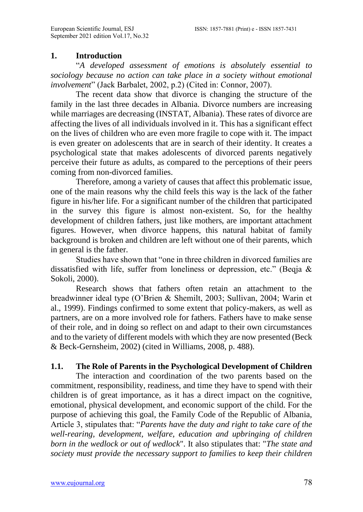#### **1. Introduction**

"*A developed assessment of emotions is absolutely essential to sociology because no action can take place in a society without emotional involvement*" (Jack Barbalet, 2002, p.2) (Cited in: Connor, 2007).

The recent data show that divorce is changing the structure of the family in the last three decades in Albania. Divorce numbers are increasing while marriages are decreasing (INSTAT, Albania). These rates of divorce are affecting the lives of all individuals involved in it. This has a significant effect on the lives of children who are even more fragile to cope with it. The impact is even greater on adolescents that are in search of their identity. It creates a psychological state that makes adolescents of divorced parents negatively perceive their future as adults, as compared to the perceptions of their peers coming from non-divorced families.

Therefore, among a variety of causes that affect this problematic issue, one of the main reasons why the child feels this way is the lack of the father figure in his/her life. For a significant number of the children that participated in the survey this figure is almost non-existent. So, for the healthy development of children fathers, just like mothers, are important attachment figures. However, when divorce happens, this natural habitat of family background is broken and children are left without one of their parents, which in general is the father.

Studies have shown that "one in three children in divorced families are dissatisfied with life, suffer from loneliness or depression, etc." (Beqja & Sokoli, 2000).

Research shows that fathers often retain an attachment to the breadwinner ideal type (O'Brien & Shemilt, 2003; Sullivan, 2004; Warin et al., 1999). Findings confirmed to some extent that policy-makers, as well as partners, are on a more involved role for fathers. Fathers have to make sense of their role, and in doing so reflect on and adapt to their own circumstances and to the variety of different models with which they are now presented (Beck & Beck-Gernsheim, 2002) (cited in Williams, 2008, p. 488).

#### **1.1. The Role of Parents in the Psychological Development of Children**

The interaction and coordination of the two parents based on the commitment, responsibility, readiness, and time they have to spend with their children is of great importance, as it has a direct impact on the cognitive, emotional, physical development, and economic support of the child. For the purpose of achieving this goal, the Family Code of the Republic of Albania, Article 3, stipulates that: "*Parents have the duty and right to take care of the well-rearing, development, welfare, education and upbringing of children born in the wedlock or out of wedlock*". It also stipulates that: "*The state and society must provide the necessary support to families to keep their children*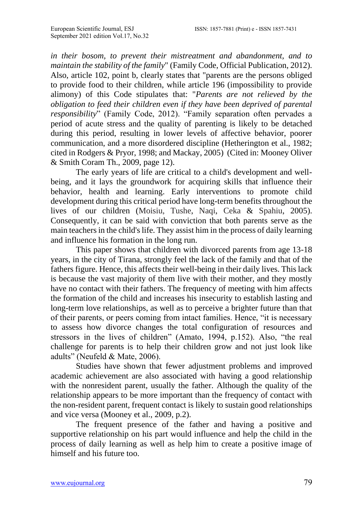*in their bosom, to prevent their mistreatment and abandonment, and to maintain the stability of the family*" (Family Code, Official Publication, 2012). Also, article 102, point b, clearly states that "parents are the persons obliged to provide food to their children, while article 196 (impossibility to provide alimony) of this Code stipulates that: "*Parents are not relieved by the obligation to feed their children even if they have been deprived of parental responsibility*" (Family Code, 2012). "Family separation often pervades a period of acute stress and the quality of parenting is likely to be detached during this period, resulting in lower levels of affective behavior, poorer communication, and a more disordered discipline (Hetherington et al., 1982; cited in Rodgers & Pryor, 1998; and Mackay, 2005) (Cited in: Mooney Oliver & Smith Coram Th., 2009, page 12).

The early years of life are critical to a child's development and wellbeing, and it lays the groundwork for acquiring skills that influence their behavior, health and learning. Early interventions to promote child development during this critical period have long-term benefits throughout the lives of our children (Moisiu, Tushe, Naqi, Ceka & Spahiu, 2005). Consequently, it can be said with conviction that both parents serve as the main teachers in the child's life. They assist him in the process of daily learning and influence his formation in the long run.

This paper shows that children with divorced parents from age 13-18 years, in the city of Tirana, strongly feel the lack of the family and that of the fathers figure. Hence, this affects their well-being in their daily lives. This lack is because the vast majority of them live with their mother, and they mostly have no contact with their fathers. The frequency of meeting with him affects the formation of the child and increases his insecurity to establish lasting and long-term love relationships, as well as to perceive a brighter future than that of their parents, or peers coming from intact families. Hence, "it is necessary to assess how divorce changes the total configuration of resources and stressors in the lives of children" (Amato, 1994, p.152). Also, "the real challenge for parents is to help their children grow and not just look like adults" (Neufeld & Mate, 2006).

Studies have shown that fewer adjustment problems and improved academic achievement are also associated with having a good relationship with the nonresident parent, usually the father. Although the quality of the relationship appears to be more important than the frequency of contact with the non-resident parent, frequent contact is likely to sustain good relationships and vice versa (Mooney et al., 2009, p.2).

The frequent presence of the father and having a positive and supportive relationship on his part would influence and help the child in the process of daily learning as well as help him to create a positive image of himself and his future too.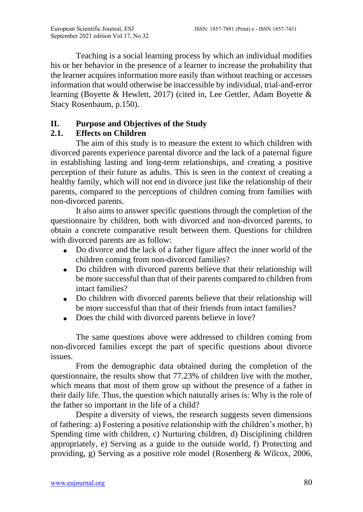Teaching is a social learning process by which an individual modifies his or her behavior in the presence of a learner to increase the probability that the learner acquires information more easily than without teaching or accesses information that would otherwise be inaccessible by individual, trial-and-error learning (Boyette & Hewlett, 2017) (cited in, Lee Gettler, Adam Boyette & Stacy Rosenbaum, p.150).

# **II. Purpose and Objectives of the Study**

# **2.1. Effects on Children**

The aim of this study is to measure the extent to which children with divorced parents experience parental divorce and the lack of a paternal figure in establishing lasting and long-term relationships, and creating a positive perception of their future as adults. This is seen in the context of creating a healthy family, which will not end in divorce just like the relationship of their parents, compared to the perceptions of children coming from families with non-divorced parents.

It also aims to answer specific questions through the completion of the questionnaire by children, both with divorced and non-divorced parents, to obtain a concrete comparative result between them. Questions for children with divorced parents are as follow:

- Do divorce and the lack of a father figure affect the inner world of the children coming from non-divorced families?
- Do children with divorced parents believe that their relationship will be more successful than that of their parents compared to children from intact families?
- Do children with divorced parents believe that their relationship will be more successful than that of their friends from intact families?
- Does the child with divorced parents believe in love?

The same questions above were addressed to children coming from non-divorced families except the part of specific questions about divorce issues.

From the demographic data obtained during the completion of the questionnaire, the results show that 77.23% of children live with the mother, which means that most of them grow up without the presence of a father in their daily life. Thus, the question which naturally arises is: Why is the role of the father so important in the life of a child?

Despite a diversity of views, the research suggests seven dimensions of fathering: a) Fostering a positive relationship with the children's mother, b) Spending time with children, c) Nurturing children, d) Disciplining children appropriately, e) Serving as a guide to the outside world, f) Protecting and providing, g) Serving as a positive role model (Rosenberg & Wilcox, 2006,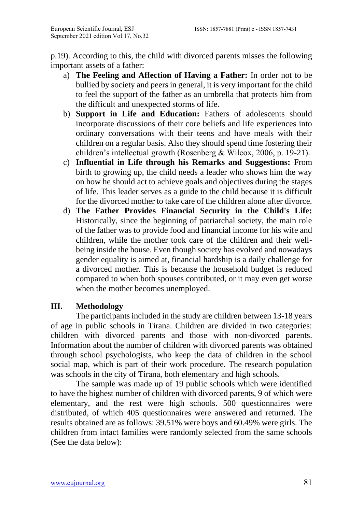p.19). According to this, the child with divorced parents misses the following important assets of a father:

- a) **The Feeling and Affection of Having a Father:** In order not to be bullied by society and peers in general, it is very important for the child to feel the support of the father as an umbrella that protects him from the difficult and unexpected storms of life.
- b) **Support in Life and Education:** Fathers of adolescents should incorporate discussions of their core beliefs and life experiences into ordinary conversations with their teens and have meals with their children on a regular basis. Also they should spend time fostering their children's intellectual growth (Rosenberg & Wilcox, 2006, p. 19-21).
- c) **Influential in Life through his Remarks and Suggestions:** From birth to growing up, the child needs a leader who shows him the way on how he should act to achieve goals and objectives during the stages of life. This leader serves as a guide to the child because it is difficult for the divorced mother to take care of the children alone after divorce.
- d) **The Father Provides Financial Security in the Child's Life:**  Historically, since the beginning of patriarchal society, the main role of the father was to provide food and financial income for his wife and children, while the mother took care of the children and their wellbeing inside the house. Even though society has evolved and nowadays gender equality is aimed at, financial hardship is a daily challenge for a divorced mother. This is because the household budget is reduced compared to when both spouses contributed, or it may even get worse when the mother becomes unemployed.

# **III. Methodology**

The participants included in the study are children between 13-18 years of age in public schools in Tirana. Children are divided in two categories: children with divorced parents and those with non-divorced parents. Information about the number of children with divorced parents was obtained through school psychologists, who keep the data of children in the school social map, which is part of their work procedure. The research population was schools in the city of Tirana, both elementary and high schools.

The sample was made up of 19 public schools which were identified to have the highest number of children with divorced parents, 9 of which were elementary, and the rest were high schools. 500 questionnaires were distributed, of which 405 questionnaires were answered and returned. The results obtained are as follows: 39.51% were boys and 60.49% were girls. The children from intact families were randomly selected from the same schools (See the data below):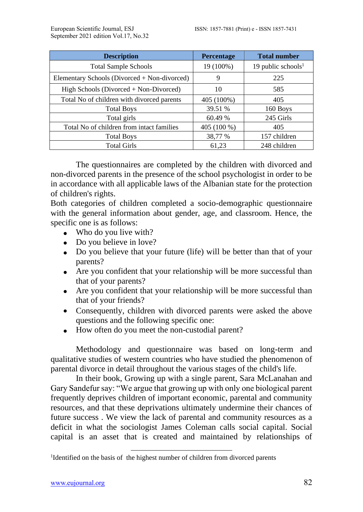| <b>Description</b>                           | Percentage  | <b>Total number</b>            |
|----------------------------------------------|-------------|--------------------------------|
| <b>Total Sample Schools</b>                  | 19 (100%)   | 19 public schools <sup>1</sup> |
| Elementary Schools (Divorced + Non-divorced) | 9           | 225                            |
| High Schools (Divorced + Non-Divorced)       | 10          | 585                            |
| Total No of children with divorced parents   | 405 (100%)  | 405                            |
| <b>Total Boys</b>                            | 39.51 %     | 160 Boys                       |
| Total girls                                  | 60.49 %     | 245 Girls                      |
| Total No of children from intact families    | 405 (100 %) | 405                            |
| <b>Total Boys</b>                            | 38,77 %     | 157 children                   |
| <b>Total Girls</b>                           | 61,23       | 248 children                   |

The questionnaires are completed by the children with divorced and non-divorced parents in the presence of the school psychologist in order to be in accordance with all applicable laws of the Albanian state for the protection of children's rights.

Both categories of children completed a socio-demographic questionnaire with the general information about gender, age, and classroom. Hence, the specific one is as follows:

- Who do you live with?
- Do you believe in love?
- Do you believe that your future (life) will be better than that of your parents?
- Are you confident that your relationship will be more successful than that of your parents?
- Are you confident that your relationship will be more successful than that of your friends?
- Consequently, children with divorced parents were asked the above questions and the following specific one:
- How often do you meet the non-custodial parent?

Methodology and questionnaire was based on long-term and qualitative studies of western countries who have studied the phenomenon of parental divorce in detail throughout the various stages of the child's life.

In their book, Growing up with a single parent, Sara McLanahan and Gary Sandefur say: "We argue that growing up with only one biological parent frequently deprives children of important economic, parental and community resources, and that these deprivations ultimately undermine their chances of future success . We view the lack of parental and community resources as a deficit in what the sociologist James Coleman calls social capital. Social capital is an asset that is created and maintained by relationships of

<sup>&</sup>lt;sup>1</sup>Identified on the basis of the highest number of children from divorced parents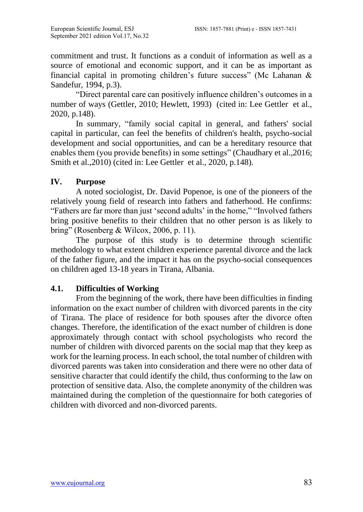commitment and trust. It functions as a conduit of information as well as a source of emotional and economic support, and it can be as important as financial capital in promoting children's future success" (Mc Lahanan & Sandefur, 1994, p.3).

"Direct parental care can positively influence children's outcomes in a number of ways (Gettler, 2010; Hewlett, 1993) (cited in: Lee Gettler et al., 2020, p.148).

In summary, "family social capital in general, and fathers' social capital in particular, can feel the benefits of children's health, psycho-social development and social opportunities, and can be a hereditary resource that enables them (you provide benefits) in some settings" (Chaudhary et al.,2016; Smith et al.,2010) (cited in: Lee Gettler et al., 2020, p.148).

# **IV. Purpose**

A noted sociologist, Dr. David Popenoe, is one of the pioneers of the relatively young field of research into fathers and fatherhood. He confirms: "Fathers are far more than just 'second adults' in the home," "Involved fathers bring positive benefits to their children that no other person is as likely to bring" (Rosenberg & Wilcox, 2006, p. 11).

The purpose of this study is to determine through scientific methodology to what extent children experience parental divorce and the lack of the father figure, and the impact it has on the psycho-social consequences on children aged 13-18 years in Tirana, Albania.

# **4.1. Difficulties of Working**

From the beginning of the work, there have been difficulties in finding information on the exact number of children with divorced parents in the city of Tirana. The place of residence for both spouses after the divorce often changes. Therefore, the identification of the exact number of children is done approximately through contact with school psychologists who record the number of children with divorced parents on the social map that they keep as work for the learning process. In each school, the total number of children with divorced parents was taken into consideration and there were no other data of sensitive character that could identify the child, thus conforming to the law on protection of sensitive data. Also, the complete anonymity of the children was maintained during the completion of the questionnaire for both categories of children with divorced and non-divorced parents.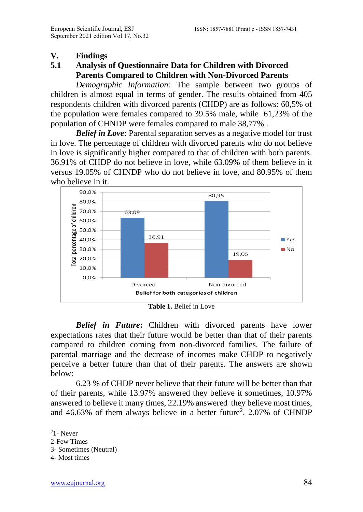#### **V. Findings**

# **5.1 Analysis of Questionnaire Data for Children with Divorced Parents Compared to Children with Non-Divorced Parents**

*Demographic Information:* The sample between two groups of children is almost equal in terms of gender. The results obtained from 405 respondents children with divorced parents (CHDP) are as follows: 60,5% of the population were females compared to 39.5% male, while 61,23% of the population of CHNDP were females compared to male 38,77% .

*Belief in Love:* Parental separation serves as a negative model for trust in love. The percentage of children with divorced parents who do not believe in love is significantly higher compared to that of children with both parents. 36.91% of CHDP do not believe in love, while 63.09% of them believe in it versus 19.05% of CHNDP who do not believe in love, and 80.95% of them who believe in it.



**Table 1.** Belief in Love

*Belief in Future***:** Children with divorced parents have lower expectations rates that their future would be better than that of their parents compared to children coming from non-divorced families. The failure of parental marriage and the decrease of incomes make CHDP to negatively perceive a better future than that of their parents. The answers are shown below:

6.23 % of CHDP never believe that their future will be better than that of their parents, while 13.97% answered they believe it sometimes, 10.97% answered to believe it many times, 22.19% answered they believe most times, and  $46.63\%$  of them always believe in a better future<sup>2</sup>. 2.07% of CHNDP

 $21 -$  Never

<sup>2-</sup>Few Times

<sup>3-</sup> Sometimes (Neutral)

<sup>4-</sup> Most times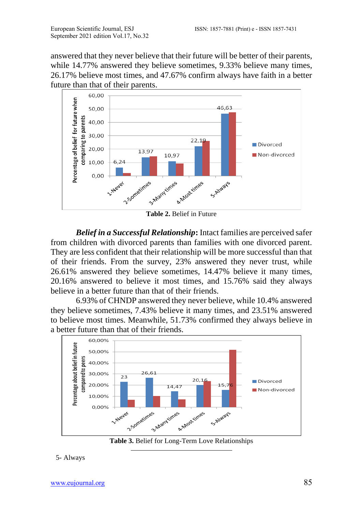answered that they never believe that their future will be better of their parents, while 14.77% answered they believe sometimes, 9.33% believe many times, 26.17% believe most times, and 47.67% confirm always have faith in a better future than that of their parents.



**Table 2.** Belief in Future

*Belief in a Successful Relationship***:** Intact families are perceived safer from children with divorced parents than families with one divorced parent. They are less confident that their relationship will be more successful than that of their friends. From the survey, 23% answered they never trust, while 26.61% answered they believe sometimes, 14.47% believe it many times, 20.16% answered to believe it most times, and 15.76% said they always believe in a better future than that of their friends.

6.93% of CHNDP answered they never believe, while 10.4% answered they believe sometimes, 7.43% believe it many times, and 23.51% answered to believe most times. Meanwhile, 51.73% confirmed they always believe in a better future than that of their friends.



**Table 3.** Belief for Long-Term Love Relationships

#### 5- Always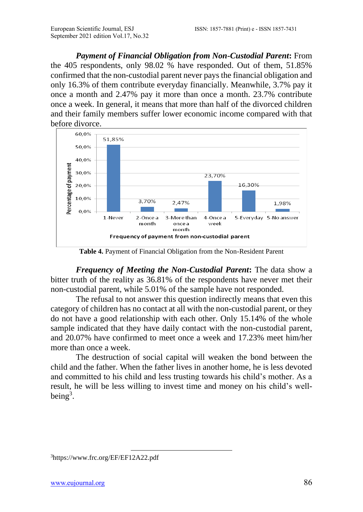*Payment of Financial Obligation from Non-Custodial Parent***:** From the 405 respondents, only 98.02 % have responded. Out of them, 51.85% confirmed that the non-custodial parent never pays the financial obligation and only 16.3% of them contribute everyday financially. Meanwhile, 3.7% pay it once a month and 2.47% pay it more than once a month. 23.7% contribute once a week. In general, it means that more than half of the divorced children and their family members suffer lower economic income compared with that before divorce.



**Table 4.** Payment of Financial Obligation from the Non-Resident Parent

*Frequency of Meeting the Non-Custodial Parent***:** The data show a bitter truth of the reality as 36.81% of the respondents have never met their non-custodial parent, while 5.01% of the sample have not responded.

The refusal to not answer this question indirectly means that even this category of children has no contact at all with the non-custodial parent, or they do not have a good relationship with each other. Only 15.14% of the whole sample indicated that they have daily contact with the non-custodial parent, and 20.07% have confirmed to meet once a week and 17.23% meet him/her more than once a week.

The destruction of social capital will weaken the bond between the child and the father. When the father lives in another home, he is less devoted and committed to his child and less trusting towards his child's mother. As a result, he will be less willing to invest time and money on his child's wellbeing<sup>3</sup>.

<sup>3</sup><https://www.frc.org/EF/EF12A22.pdf>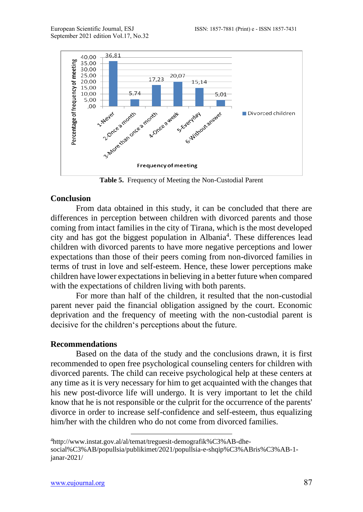

**Table 5.** Frequency of Meeting the Non-Custodial Parent

#### **Conclusion**

From data obtained in this study, it can be concluded that there are differences in perception between children with divorced parents and those coming from intact families in the city of Tirana, which is the most developed city and has got the biggest population in Albania<sup>4</sup>. These differences lead children with divorced parents to have more negative perceptions and lower expectations than those of their peers coming from non-divorced families in terms of trust in love and self-esteem. Hence, these lower perceptions make children have lower expectations in believing in a better future when compared with the expectations of children living with both parents.

For more than half of the children, it resulted that the non-custodial parent never paid the financial obligation assigned by the court. Economic deprivation and the frequency of meeting with the non-custodial parent is decisive for the children's perceptions about the future.

#### **Recommendations**

Based on the data of the study and the conclusions drawn, it is first recommended to open free psychological counseling centers for children with divorced parents. The child can receive psychological help at these centers at any time as it is very necessary for him to get acquainted with the changes that his new post-divorce life will undergo. It is very important to let the child know that he is not responsible or the culprit for the occurrence of the parents' divorce in order to increase self-confidence and self-esteem, thus equalizing him/her with the children who do not come from divorced families.

<sup>4</sup>[http://www.instat.gov.al/al/temat/treguesit-demografik%C3%AB-dhe](http://www.instat.gov.al/al/temat/treguesit-demografik%C3%AB-dhe-social%C3%AB/popullsia/publikimet/2021/popullsia-e-shqip%C3%ABris%C3%AB-1-janar-2021/)[social%C3%AB/popullsia/publikimet/2021/popullsia-e-shqip%C3%ABris%C3%AB-1](http://www.instat.gov.al/al/temat/treguesit-demografik%C3%AB-dhe-social%C3%AB/popullsia/publikimet/2021/popullsia-e-shqip%C3%ABris%C3%AB-1-janar-2021/) [janar-2021/](http://www.instat.gov.al/al/temat/treguesit-demografik%C3%AB-dhe-social%C3%AB/popullsia/publikimet/2021/popullsia-e-shqip%C3%ABris%C3%AB-1-janar-2021/)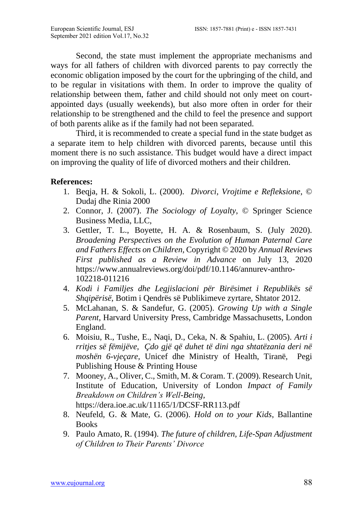Second, the state must implement the appropriate mechanisms and ways for all fathers of children with divorced parents to pay correctly the economic obligation imposed by the court for the upbringing of the child, and to be regular in visitations with them. In order to improve the quality of relationship between them, father and child should not only meet on courtappointed days (usually weekends), but also more often in order for their relationship to be strengthened and the child to feel the presence and support of both parents alike as if the family had not been separated.

Third, it is recommended to create a special fund in the state budget as a separate item to help children with divorced parents, because until this moment there is no such assistance. This budget would have a direct impact on improving the quality of life of divorced mothers and their children.

#### **References:**

- 1. Beqja, H. & Sokoli, L. (2000). *Divorci*, *Vrojtime e Refleksione*, © Dudaj dhe Rinia 2000
- 2. Connor, J. (2007). *The Sociology of Loyalty*, © Springer Science Business Media, LLC,
- 3. Gettler, T. L., Boyette, H. A. & Rosenbaum, S. (July 2020). *Broadening Perspectives on the Evolution of Human Paternal Care and Fathers Effects on Children,* Copyright © 2020 by *Annual Reviews First published as a Review in Advance* on July 13, 2020 [https://www.annualreviews.org/doi/pdf/10.1146/annurev-anthro-](https://www.annualreviews.org/doi/pdf/10.1146/annurev-anthro-102218-011216)[102218-011216](https://www.annualreviews.org/doi/pdf/10.1146/annurev-anthro-102218-011216)
- 4. *Kodi i Familjes dhe Legjislacioni për Birësimet i Republikës së Shqipërisë*, Botim i Qendrës së Publikimeve zyrtare, Shtator 2012.
- 5. McLahanan, S. & Sandefur, G. (2005). *Growing Up with a Single Parent*, Harvard University Press, Cambridge Massachusetts, London England.
- 6. Moisiu, R., Tushe, E., Naqi, D., Ceka, N. & Spahiu, L. (2005). *Arti i rritjes së fëmijëve, Çdo gjë që duhet të dini nga shtatëzania deri në moshën 6-vjeçare,* Unicef dhe Ministry of Health, Tiranë, Pegi Publishing House & Printing House
- 7. Mooney, A., Oliver, C., Smith, M. & Coram. T. (2009). Research Unit, Institute of Education, University of London *Impact of Family Breakdown on Children's Well-Being,*  <https://dera.ioe.ac.uk/11165/1/DCSF-RR113.pdf>
- 8. Neufeld, G. & Mate, G. (2006). *Hold on to your Kids*, Ballantine **Books**
- 9. Paulo Amato, R. (1994). *The future of children, Life-Span Adjustment of Children to Their Parents' Divorce*